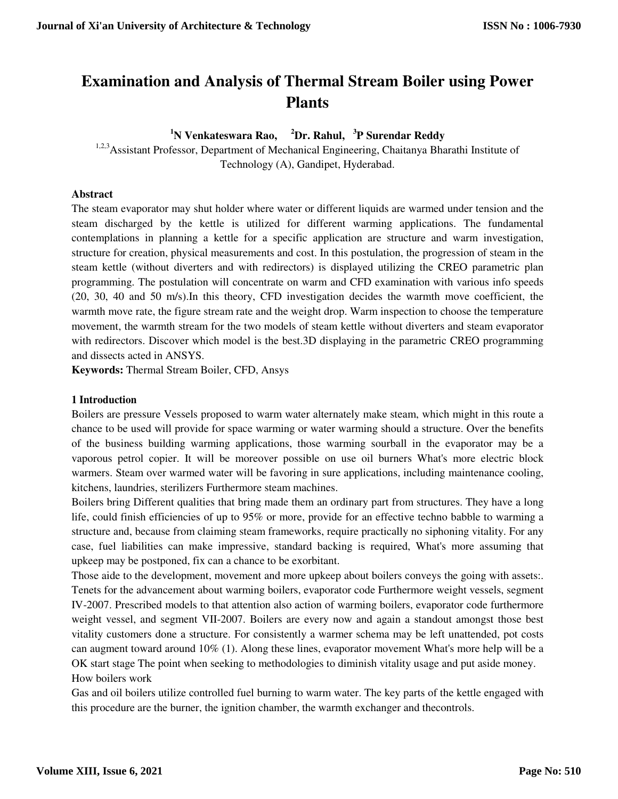# **Examination and Analysis of Thermal Stream Boiler using Power Plants**

**<sup>1</sup>N Venkateswara Rao, <sup>2</sup>Dr. Rahul, <sup>3</sup>P Surendar Reddy** 

<sup>1,2,3</sup> Assistant Professor, Department of Mechanical Engineering, Chaitanya Bharathi Institute of Technology (A), Gandipet, Hyderabad.

#### **Abstract**

The steam evaporator may shut holder where water or different liquids are warmed under tension and the steam discharged by the kettle is utilized for different warming applications. The fundamental contemplations in planning a kettle for a specific application are structure and warm investigation, structure for creation, physical measurements and cost. In this postulation, the progression of steam in the steam kettle (without diverters and with redirectors) is displayed utilizing the CREO parametric plan programming. The postulation will concentrate on warm and CFD examination with various info speeds (20, 30, 40 and 50 m/s).In this theory, CFD investigation decides the warmth move coefficient, the warmth move rate, the figure stream rate and the weight drop. Warm inspection to choose the temperature movement, the warmth stream for the two models of steam kettle without diverters and steam evaporator with redirectors. Discover which model is the best. 3D displaying in the parametric CREO programming and dissects acted in ANSYS.

**Keywords:** Thermal Stream Boiler, CFD, Ansys

#### **1 Introduction**

Boilers are pressure Vessels proposed to warm water alternately make steam, which might in this route a chance to be used will provide for space warming or water warming should a structure. Over the benefits of the business building warming applications, those warming sourball in the evaporator may be a vaporous petrol copier. It will be moreover possible on use oil burners What's more electric block warmers. Steam over warmed water will be favoring in sure applications, including maintenance cooling, kitchens, laundries, sterilizers Furthermore steam machines.

Boilers bring Different qualities that bring made them an ordinary part from structures. They have a long life, could finish efficiencies of up to 95% or more, provide for an effective techno babble to warming a structure and, because from claiming steam frameworks, require practically no siphoning vitality. For any case, fuel liabilities can make impressive, standard backing is required, What's more assuming that upkeep may be postponed, fix can a chance to be exorbitant.

Those aide to the development, movement and more upkeep about boilers conveys the going with assets:. Tenets for the advancement about warming boilers, evaporator code Furthermore weight vessels, segment IV-2007. Prescribed models to that attention also action of warming boilers, evaporator code furthermore weight vessel, and segment VII-2007. Boilers are every now and again a standout amongst those best vitality customers done a structure. For consistently a warmer schema may be left unattended, pot costs can augment toward around 10% (1). Along these lines, evaporator movement What's more help will be a OK start stage The point when seeking to methodologies to diminish vitality usage and put aside money. How boilers work

Gas and oil boilers utilize controlled fuel burning to warm water. The key parts of the kettle engaged with this procedure are the burner, the ignition chamber, the warmth exchanger and thecontrols.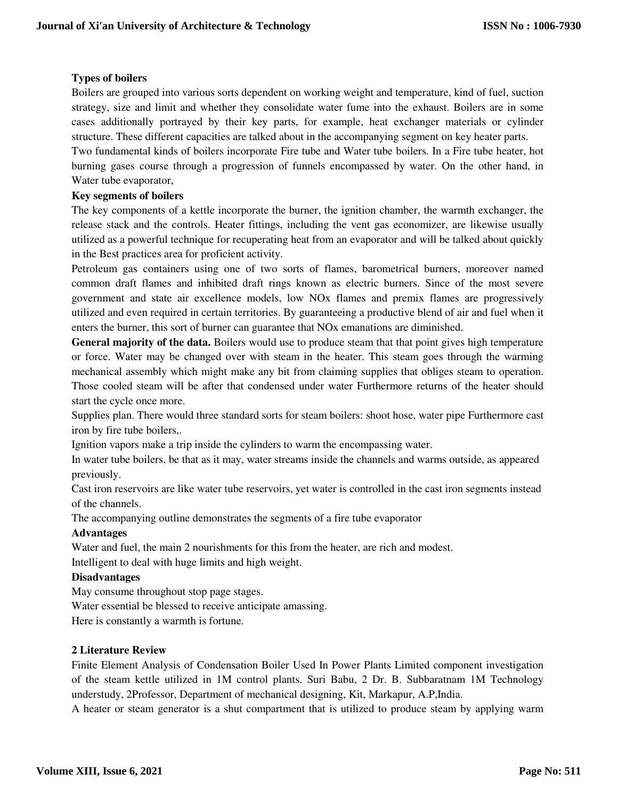# **Types of boilers**

Boilers are grouped into various sorts dependent on working weight and temperature, kind of fuel, suction strategy, size and limit and whether they consolidate water fume into the exhaust. Boilers are in some cases additionally portrayed by their key parts, for example, heat exchanger materials or cylinder structure. These different capacities are talked about in the accompanying segment on key heater parts.

Two fundamental kinds of boilers incorporate Fire tube and Water tube boilers. In a Fire tube heater, hot burning gases course through a progression of funnels encompassed by water. On the other hand, in Water tube evaporator,

## **Key segments of boilers**

The key components of a kettle incorporate the burner, the ignition chamber, the warmth exchanger, the release stack and the controls. Heater fittings, including the vent gas economizer, are likewise usually utilized as a powerful technique for recuperating heat from an evaporator and will be talked about quickly in the Best practices area for proficient activity.

Petroleum gas containers using one of two sorts of flames, barometrical burners, moreover named common draft flames and inhibited draft rings known as electric burners. Since of the most severe government and state air excellence models, low NOx flames and premix flames are progressively utilized and even required in certain territories. By guaranteeing a productive blend of air and fuel when it enters the burner, this sort of burner can guarantee that NOx emanations are diminished.

**General majority of the data.** Boilers would use to produce steam that that point gives high temperature or force. Water may be changed over with steam in the heater. This steam goes through the warming mechanical assembly which might make any bit from claiming supplies that obliges steam to operation. Those cooled steam will be after that condensed under water Furthermore returns of the heater should start the cycle once more.

Supplies plan. There would three standard sorts for steam boilers: shoot hose, water pipe Furthermore cast iron by fire tube boilers,.

Ignition vapors make a trip inside the cylinders to warm the encompassing water.

In water tube boilers, be that as it may, water streams inside the channels and warms outside, as appeared previously.

Cast iron reservoirs are like water tube reservoirs, yet water is controlled in the cast iron segments instead of the channels.

The accompanying outline demonstrates the segments of a fire tube evaporator

#### **Advantages**

Water and fuel, the main 2 nourishments for this from the heater, are rich and modest.

Intelligent to deal with huge limits and high weight.

#### **Disadvantages**

May consume throughout stop page stages.

Water essential be blessed to receive anticipate amassing.

Here is constantly a warmth is fortune.

#### **2 Literature Review**

Finite Element Analysis of Condensation Boiler Used In Power Plants Limited component investigation of the steam kettle utilized in 1M control plants. Suri Babu, 2 Dr. B. Subbaratnam 1M Technology understudy, 2Professor, Department of mechanical designing, Kit, Markapur, A.P,India.

A heater or steam generator is a shut compartment that is utilized to produce steam by applying warm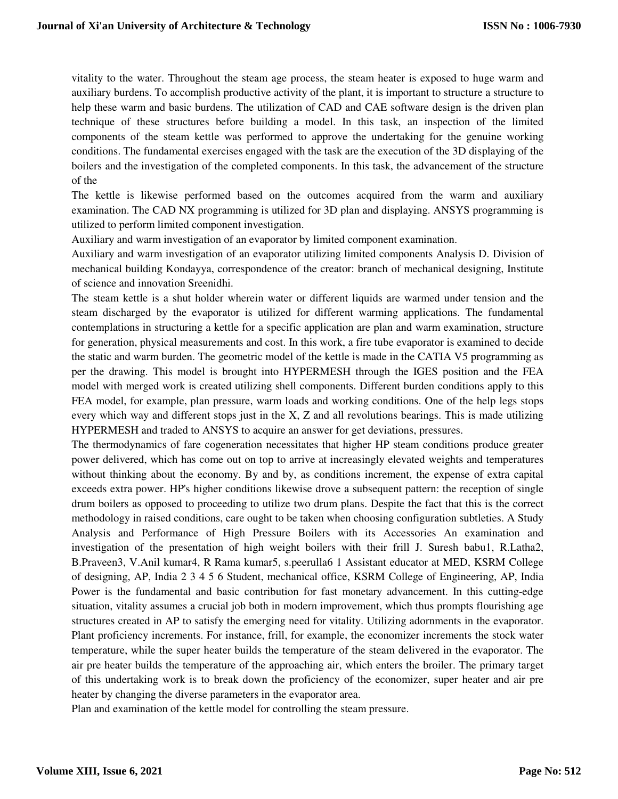vitality to the water. Throughout the steam age process, the steam heater is exposed to huge warm and auxiliary burdens. To accomplish productive activity of the plant, it is important to structure a structure to help these warm and basic burdens. The utilization of CAD and CAE software design is the driven plan technique of these structures before building a model. In this task, an inspection of the limited components of the steam kettle was performed to approve the undertaking for the genuine working conditions. The fundamental exercises engaged with the task are the execution of the 3D displaying of the boilers and the investigation of the completed components. In this task, the advancement of the structure of the

The kettle is likewise performed based on the outcomes acquired from the warm and auxiliary examination. The CAD NX programming is utilized for 3D plan and displaying. ANSYS programming is utilized to perform limited component investigation.

Auxiliary and warm investigation of an evaporator by limited component examination.

Auxiliary and warm investigation of an evaporator utilizing limited components Analysis D. Division of mechanical building Kondayya, correspondence of the creator: branch of mechanical designing, Institute of science and innovation Sreenidhi.

The steam kettle is a shut holder wherein water or different liquids are warmed under tension and the steam discharged by the evaporator is utilized for different warming applications. The fundamental contemplations in structuring a kettle for a specific application are plan and warm examination, structure for generation, physical measurements and cost. In this work, a fire tube evaporator is examined to decide the static and warm burden. The geometric model of the kettle is made in the CATIA V5 programming as per the drawing. This model is brought into HYPERMESH through the IGES position and the FEA model with merged work is created utilizing shell components. Different burden conditions apply to this FEA model, for example, plan pressure, warm loads and working conditions. One of the help legs stops every which way and different stops just in the X, Z and all revolutions bearings. This is made utilizing HYPERMESH and traded to ANSYS to acquire an answer for get deviations, pressures.

The thermodynamics of fare cogeneration necessitates that higher HP steam conditions produce greater power delivered, which has come out on top to arrive at increasingly elevated weights and temperatures without thinking about the economy. By and by, as conditions increment, the expense of extra capital exceeds extra power. HP's higher conditions likewise drove a subsequent pattern: the reception of single drum boilers as opposed to proceeding to utilize two drum plans. Despite the fact that this is the correct methodology in raised conditions, care ought to be taken when choosing configuration subtleties. A Study Analysis and Performance of High Pressure Boilers with its Accessories An examination and investigation of the presentation of high weight boilers with their frill J. Suresh babu1, R.Latha2, B.Praveen3, V.Anil kumar4, R Rama kumar5, s.peerulla6 1 Assistant educator at MED, KSRM College of designing, AP, India 2 3 4 5 6 Student, mechanical office, KSRM College of Engineering, AP, India Power is the fundamental and basic contribution for fast monetary advancement. In this cutting-edge situation, vitality assumes a crucial job both in modern improvement, which thus prompts flourishing age structures created in AP to satisfy the emerging need for vitality. Utilizing adornments in the evaporator. Plant proficiency increments. For instance, frill, for example, the economizer increments the stock water temperature, while the super heater builds the temperature of the steam delivered in the evaporator. The air pre heater builds the temperature of the approaching air, which enters the broiler. The primary target of this undertaking work is to break down the proficiency of the economizer, super heater and air pre heater by changing the diverse parameters in the evaporator area.

Plan and examination of the kettle model for controlling the steam pressure.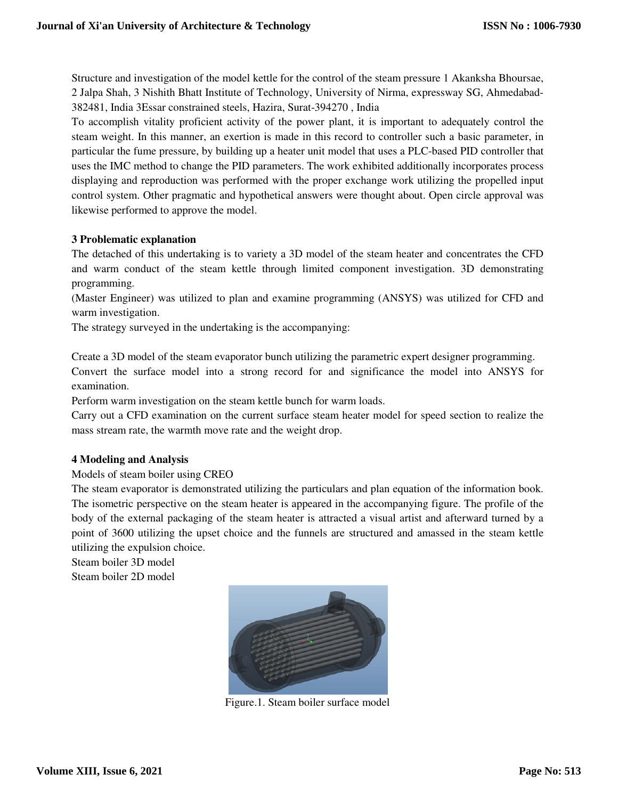Structure and investigation of the model kettle for the control of the steam pressure 1 Akanksha Bhoursae, 2 Jalpa Shah, 3 Nishith Bhatt Institute of Technology, University of Nirma, expressway SG, Ahmedabad-382481, India 3Essar constrained steels, Hazira, Surat-394270 , India

To accomplish vitality proficient activity of the power plant, it is important to adequately control the steam weight. In this manner, an exertion is made in this record to controller such a basic parameter, in particular the fume pressure, by building up a heater unit model that uses a PLC-based PID controller that uses the IMC method to change the PID parameters. The work exhibited additionally incorporates process displaying and reproduction was performed with the proper exchange work utilizing the propelled input control system. Other pragmatic and hypothetical answers were thought about. Open circle approval was likewise performed to approve the model.

## **3 Problematic explanation**

The detached of this undertaking is to variety a 3D model of the steam heater and concentrates the CFD and warm conduct of the steam kettle through limited component investigation. 3D demonstrating programming.

(Master Engineer) was utilized to plan and examine programming (ANSYS) was utilized for CFD and warm investigation.

The strategy surveyed in the undertaking is the accompanying:

Create a 3D model of the steam evaporator bunch utilizing the parametric expert designer programming. Convert the surface model into a strong record for and significance the model into ANSYS for examination.

Perform warm investigation on the steam kettle bunch for warm loads.

Carry out a CFD examination on the current surface steam heater model for speed section to realize the mass stream rate, the warmth move rate and the weight drop.

#### **4 Modeling and Analysis**

#### Models of steam boiler using CREO

The steam evaporator is demonstrated utilizing the particulars and plan equation of the information book. The isometric perspective on the steam heater is appeared in the accompanying figure. The profile of the body of the external packaging of the steam heater is attracted a visual artist and afterward turned by a point of 3600 utilizing the upset choice and the funnels are structured and amassed in the steam kettle utilizing the expulsion choice.

Steam boiler 3D model Steam boiler 2D model



Figure.1. Steam boiler surface model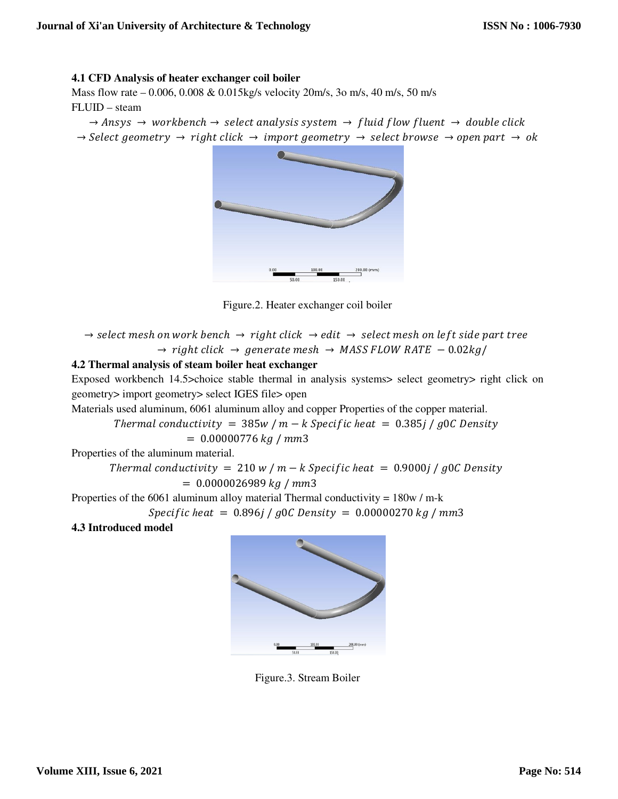## **4.1 CFD Analysis of heater exchanger coil boiler**

Mass flow rate – 0.006, 0.008 & 0.015kg/s velocity 20m/s, 3o m/s, 40 m/s, 50 m/s FLUID – steam

 $\rightarrow$  Ansys  $\rightarrow$  workbench  $\rightarrow$  select analysis system  $\rightarrow$  fluid flow fluent  $\rightarrow$  double click  $\rightarrow$  Select geometry  $\rightarrow$  right click  $\rightarrow$  import geometry  $\rightarrow$  select browse  $\rightarrow$  open part  $\rightarrow$  ok



Figure.2. Heater exchanger coil boiler

 $\rightarrow$  select mesh on work bench  $\rightarrow$  right click  $\rightarrow$  edit  $\rightarrow$  select mesh on left side part tree  $\rightarrow$  right click  $\rightarrow$  generate mesh  $\rightarrow$  MASS FLOW RATE  $-0.02 kg/m$ 

#### **4.2 Thermal analysis of steam boiler heat exchanger**

Exposed workbench 14.5>choice stable thermal in analysis systems> select geometry> right click on geometry> import geometry> select IGES file> open

Materials used aluminum, 6061 aluminum alloy and copper Properties of the copper material.

*Thermal conductivity* =  $385w/m - k$  *Specific heat* =  $0.385j/g0C$  *Density*  $= 0.00000776 kg/mm3$ 

Properties of the aluminum material.

*Thermal conductivity* =  $210 w / m - k$  *Specific heat* =  $0.9000 j / g0C$  *Density*  $= 0.0000026989 kg / mm3$ 

Properties of the 6061 aluminum alloy material Thermal conductivity =  $180w / m-k$ 

*Specific heat* = 
$$
0.896j / g0C
$$
 Density =  $0.00000270 kg / mm3$ 

**4.3 Introduced model** 



Figure.3. Stream Boiler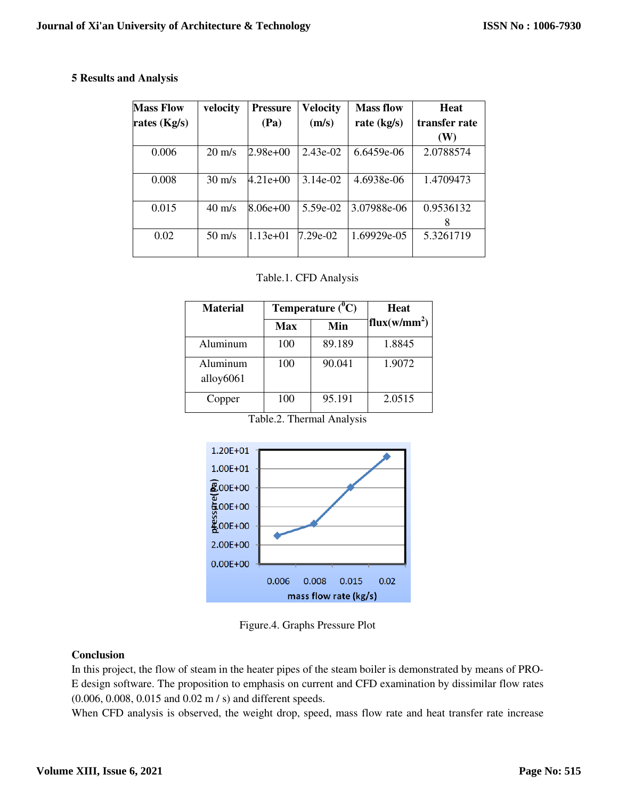## **5 Results and Analysis**

| <b>Mass Flow</b> | velocity         | <b>Pressure</b> | <b>Velocity</b> | <b>Mass flow</b> | <b>Heat</b>    |
|------------------|------------------|-----------------|-----------------|------------------|----------------|
| rates $(Kg/s)$   |                  | (Pa)            | (m/s)           | rate $(kg/s)$    | transfer rate  |
|                  |                  |                 |                 |                  | (W)            |
| 0.006            | $20 \text{ m/s}$ | $2.98e+00$      | $2.43e-02$      | 6.6459e-06       | 2.0788574      |
| 0.008            | $30 \text{ m/s}$ | $4.21e+00$      | $3.14e-02$      | 4.6938e-06       | 1.4709473      |
| 0.015            | $40 \text{ m/s}$ | $8.06e+00$      | 5.59e-02        | 3.07988e-06      | 0.9536132<br>8 |
| 0.02             | $50 \text{ m/s}$ | $1.13e+01$      | 7.29e-02        | 1.69929e-05      | 5.3261719      |

#### Table.1. CFD Analysis

| <b>Material</b>          | Temperature $(^0C)$ | <b>Heat</b> |                          |
|--------------------------|---------------------|-------------|--------------------------|
|                          | <b>Max</b>          | Min         | flux(w/mm <sup>2</sup> ) |
| Aluminum                 | 100                 | 89.189      | 1.8845                   |
| Aluminum<br>alloy $6061$ | 100                 | 90.041      | 1.9072                   |
| Copper                   | 100                 | 95.191      | 2.0515                   |

Table.2. Thermal Analysis



Figure.4. Graphs Pressure Plot

# **Conclusion**

In this project, the flow of steam in the heater pipes of the steam boiler is demonstrated by means of PRO-E design software. The proposition to emphasis on current and CFD examination by dissimilar flow rates (0.006, 0.008, 0.015 and 0.02 m / s) and different speeds.

When CFD analysis is observed, the weight drop, speed, mass flow rate and heat transfer rate increase